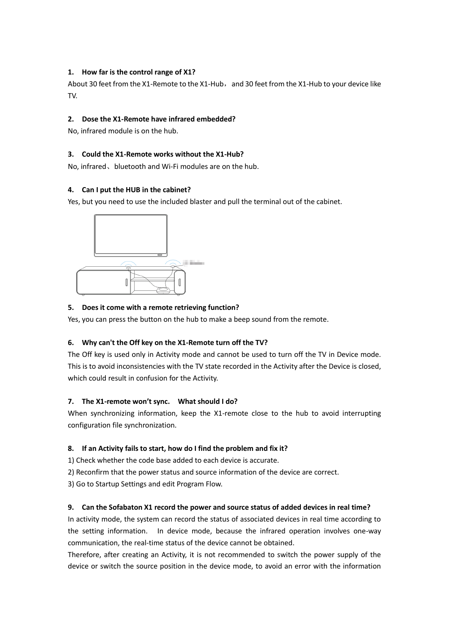## **1. How far is the control range of X1?**

About 30 feet from the X1-Remote to the X1-Hub, and 30 feet from the X1-Hub to your device like TV.

# **2. Dose the X1-Remote have infrared embedded?**

No, infrared module is on the hub.

# **3. Could the X1-Remote works without the X1-Hub?**

No, infrared、bluetooth and Wi-Fi modules are on the hub.

# **4. Can I put the HUB in the cabinet?**

Yes, but you need to use the included blaster and pull the terminal out of the cabinet.



# **5. Does it come with a remote retrieving function?**

Yes, you can press the button on the hub to make a beep sound from the remote.

## **6. Why can't the Off key on the X1-Remote turn off the TV?**

The Off key is used only in Activity mode and cannot be used to turn off the TV in Device mode. This is to avoid inconsistencies with the TV state recorded in the Activity after the Device is closed, which could result in confusion for the Activity.

## **7. The X1-remote won't sync. What should I do?**

When synchronizing information, keep the X1-remote close to the hub to avoid interrupting configuration file synchronization.

## **8. If an Activity fails to start, how do I find the problem and fix it?**

1) Check whether the code base added to each device is accurate.

- 2) Reconfirm that the power status and source information of the device are correct.
- 3) Go to Startup Settings and edit Program Flow.

## **9. Can the Sofabaton X1 record the power and source status of added devices in real time?**

In activity mode, the system can record the status of associated devices in real time according to the setting information. In device mode, because the infrared operation involves one-way communication, the real-time status of the device cannot be obtained.

Therefore, after creating an Activity, it is not recommended to switch the power supply of the device or switch the source position in the device mode, to avoid an error with the information